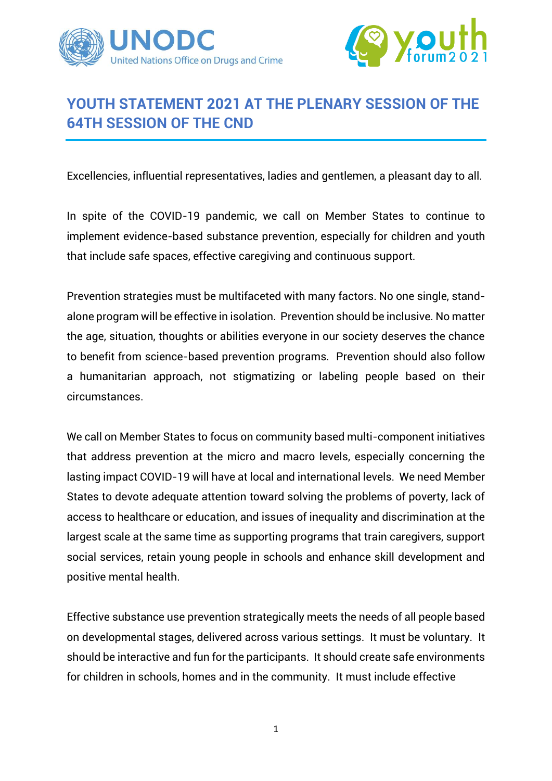



## **YOUTH STATEMENT 2021 AT THE PLENARY SESSION OF THE 64TH SESSION OF THE CND**

Excellencies, influential representatives, ladies and gentlemen, a pleasant day to all.

In spite of the COVID-19 pandemic, we call on Member States to continue to implement evidence-based substance prevention, especially for children and youth that include safe spaces, effective caregiving and continuous support.

Prevention strategies must be multifaceted with many factors. No one single, standalone program will be effective in isolation. Prevention should be inclusive. No matter the age, situation, thoughts or abilities everyone in our society deserves the chance to benefit from science-based prevention programs. Prevention should also follow a humanitarian approach, not stigmatizing or labeling people based on their circumstances.

We call on Member States to focus on community based multi-component initiatives that address prevention at the micro and macro levels, especially concerning the lasting impact COVID-19 will have at local and international levels. We need Member States to devote adequate attention toward solving the problems of poverty, lack of access to healthcare or education, and issues of inequality and discrimination at the largest scale at the same time as supporting programs that train caregivers, support social services, retain young people in schools and enhance skill development and positive mental health.

Effective substance use prevention strategically meets the needs of all people based on developmental stages, delivered across various settings. It must be voluntary. It should be interactive and fun for the participants. It should create safe environments for children in schools, homes and in the community. It must include effective